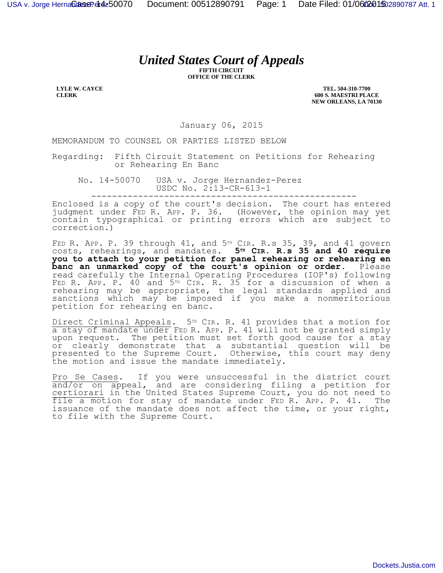## *United States Court of Appeals*

**FIFTH CIRCUIT OFFICE OF THE CLERK**

**LYLE W. CAYCE CLERK**

**TEL. 504-310-7700 600 S. MAESTRI PLACE NEW ORLEANS, LA 70130**

January 06, 2015

MEMORANDUM TO COUNSEL OR PARTIES LISTED BELOW

Regarding: Fifth Circuit Statement on Petitions for Rehearing or Rehearing En Banc

No. 14-50070 USA v. Jorge Hernandez-Perez USDC No. 2:13-CR-613-1 ---------------------------------------------------

Enclosed is a copy of the court's decision. The court has entered judgment under FED R. APP. P. 36. (However, the opinion may yet contain typographical or printing errors which are subject to correction.)

FED R. APP. P. 39 through  $41$ , and  $5<sup>TH</sup>$  CIR. R.s 35, 39, and  $41$  govern costs, rehearings, and mandates. **5TH CIR. R.s 35 and 40 require you to attach to your petition for panel rehearing or rehearing en**  banc an unmarked copy of the court's opinion or order. Please read carefully the Internal Operating Procedures (IOP's) following FED R. APP. P. 40 and 5TH CIR. R. 35 for a discussion of when a rehearing may be appropriate, the legal standards applied and sanctions which may be imposed if you make a nonmeritorious petition for rehearing en banc.

Direct Criminal Appeals. 5<sup>TH</sup> CIR. R. 41 provides that a motion for a stay of mandate under FED R. APP. P. 41 will not be granted simply upon request. The petition must set forth good cause for a stay or clearly demonstrate that a substantial question will be presented to the Supreme Court. Otherwise, this court may deny the motion and issue the mandate immediately.

Pro Se Cases. If you were unsuccessful in the district court and/or on appeal, and are considering filing a petition for certiorari in the United States Supreme Court, you do not need to file a motion for stay of mandate under FED R. APP. P. 41. The issuance of the mandate does not affect the time, or your right, to file with the Supreme Court.